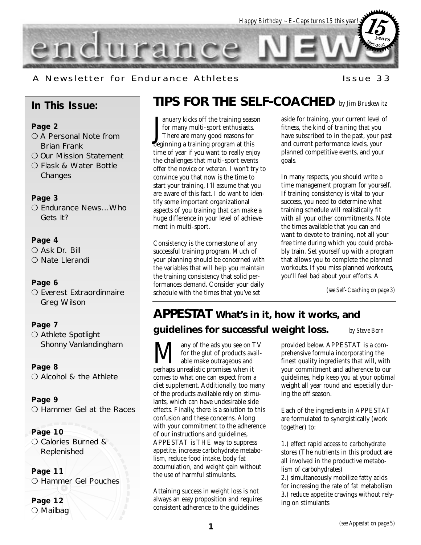

A Newsletter for Endurance Athletes The Musleum Issue 33

## **In This Issue:**

#### **Page 2**

- O A Personal Note from Brian Frank
- ❍ Our Mission Statement
- ❍ Flask & Water Bottle Changes

#### **Page 3**

❍ Endurance News...Who Gets It?

#### **Page 4**

O Ask Dr. Bill ❍ Nate Llerandi

#### **Page 6**

O Everest Extraordinnaire Greg Wilson

#### **Page 7**

O Athlete Spotlight Shonny Vanlandingham

**Page 8**

❍ Alcohol & the Athlete

**Page 9** ❍ Hammer Gel at the Races

#### **Page 10**

❍ Calories Burned & Replenished

**Page 11** ❍ Hammer Gel Pouches

**Page 12** ❍ Mailbag

## **TIPS FOR THE SELF-COACHED** *by Jim Bruskewitz*

 $\coprod_{\text{bee}}$ anuary kicks off the training season for many multi-sport enthusiasts. There are many good reasons for beginning a training program at this time of year if you want to really enjoy the challenges that multi-sport events offer the novice or veteran. I won't try to convince you that now is the time to start your training, I'll assume that you are aware of this fact. I do want to identify some important organizational aspects of you training that can make a huge difference in your level of achievement in multi-sport.

Consistency is the cornerstone of any successful training program. Much of your planning should be concerned with the variables that will help you maintain the training consistency that solid performances demand. Consider your daily schedule with the times that you've set

aside for training, your current level of fitness, the kind of training that you have subscribed to in the past, your past and current performance levels, your planned competitive events, and your goals.

In many respects, you should write a time management program for yourself. If training consistency is vital to your success, you need to determine what training schedule will realistically fit with all your other commitments. Note the times available that you can and want to devote to training, not all your free time during which you could probably train. Set yourself up with a program that allows you to complete the planned workouts. If you miss planned workouts, you'll feel bad about your efforts. A

*(see Self-Coaching on page 3)*

## **APPESTAT What's in it, how it works, and guidelines for successful weight loss.** *by Steve Born*

**M** any of the ads you see on TV<br>for the glut of products avail-<br>perhaps unrealistic promises when it for the glut of products available make outrageous and comes to what one can expect from a diet supplement. Additionally, too many of the products available rely on stimulants, which can have undesirable side effects. Finally, there is a solution to this confusion and these concerns. Along with your commitment to the adherence of our instructions and guidelines, APPESTAT is THE way to suppress appetite, increase carbohydrate metabolism, reduce food intake, body fat accumulation, and weight gain without the use of harmful stimulants.

Attaining success in weight loss is not always an easy proposition and requires consistent adherence to the guidelines

provided below. APPESTAT is a comprehensive formula incorporating the finest quality ingredients that will, with your commitment and adherence to our guidelines, help keep you at your optimal

weight all year round and especially during the off season.

Each of the ingredients in APPESTAT are formulated to synergistically (work together) to:

1.) effect rapid access to carbohydrate stores (The nutrients in this product are all involved in the productive metabolism of carbohydrates)

2.) simultaneously mobilize fatty acids for increasing the rate of fat metabolism 3.) reduce appetite cravings without relying on stimulants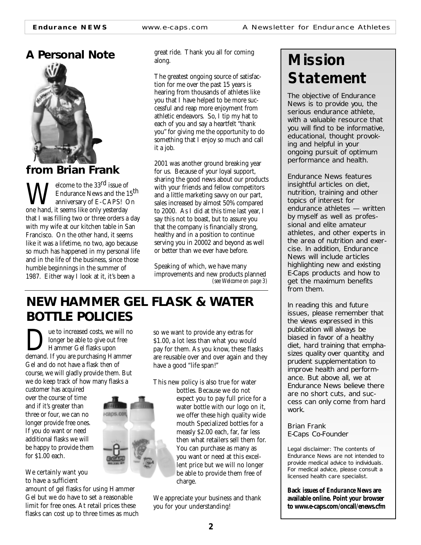## **A Personal Note**



## **from Brian Frank**

 $\sum$ elcome to the 33<sup>rd</sup> issue of Endurance News and the 15th anniversary of E-CAPS! On one hand, it seems like only yesterday that I was filling two or three orders a day with my wife at our kitchen table in San Francisco. On the other hand, it seems like it was a lifetime, no two, ago because so much has happened in my personal life and in the life of the business, since those humble beginnings in the summer of 1987. Either way I look at it, it's been a

great ride. Thank you all for coming along.

The greatest ongoing source of satisfaction for me over the past 15 years is hearing from thousands of athletes like you that I have helped to be more successful and reap more enjoyment from athletic endeavors. So, I tip my hat to each of you and say a heartfelt "thank you" for giving me the opportunity to do something that I enjoy so much and call it a job.

2001 was another ground breaking year for us. Because of your loyal support, sharing the good news about our products with your friends and fellow competitors and a little marketing savvy on our part, sales increased by almost 50% compared to 2000. As I did at this time last year, I say this not to boast, but to assure you that the company is financially strong, healthy and in a position to continue serving you in 20002 and beyond as well or better than we ever have before.

Speaking of which, we have many improvements and new products planned *(see Welcome on page 3)*

## **NEW HAMMER GEL FLASK & WATER BOTTLE POLICIES**

**Due to increased costs, we will no<br>
Hammer Gel flasks upon<br>
demand. If you are purchasing Hammer** longer be able to give out free Hammer Gel flasks upon Gel and do not have a flask then of course, we will gladly provide them. But we do keep track of how many flasks a

customer has acquired over the course of time and if it's greater than three or four, we can no longer provide free ones. If you do want or need additional flasks we will be happy to provide them for \$1.00 each.

We certainly want you to have a sufficient

amount of gel flasks for using Hammer Gel but we do have to set a reasonable limit for free ones. At retail prices these flasks can cost up to three times as much so we want to provide any extras for \$1.00, a lot less than what you would pay for them. As you know, these flasks are reusable over and over again and they have a good "life span!"

This new policy is also true for water

bottles. Because we do not expect you to pay full price for a water bottle with our logo on it, we offer these high quality wide mouth Specialized bottles for a measly \$2.00 each, far, far less then what retailers sell them for. You can purchase as many as you want or need at this excellent price but we will no longer be able to provide them free of charge.

We appreciate your business and thank you for your understanding!

# **Mission Statement**

*The objective of Endurance News is to provide you, the serious endurance athlete, with a valuable resource that you will find to be informative, educational, thought provoking and helpful in your ongoing pursuit of optimum performance and health.*

*Endurance News features insightful articles on diet, nutrition, training and other topics of interest for endurance athletes — written by myself as well as professional and elite amateur athletes, and other experts in the area of nutrition and exercise. In addition, Endurance News will include articles highlighting new and existing E-Caps products and how to get the maximum benefits from them.* 

*In reading this and future issues, please remember that the views expressed in this publication will always be biased in favor of a healthy diet, hard training that emphasizes quality over quantity, and prudent supplementation to improve health and performance. But above all, we at Endurance News believe there are no short cuts, and success can only come from hard work.*

*Brian Frank E-Caps Co-Founder*

Legal disclaimer: The contents of Endurance News are not intended to provide medical advice to individuals. For medical advice, please consult a licensed health care specialist.

**Back issues of** *Endurance New***s are available online. Point your browser to www.e-caps.com/oncall/enews.cfm**

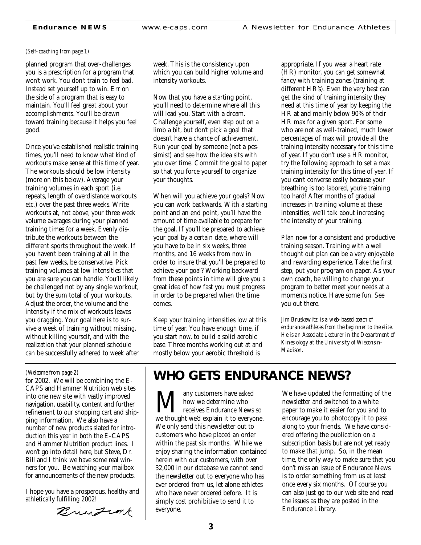#### *(Self-coaching from page 1)*

planned program that over-challenges you is a prescription for a program that won't work. You don't train to feel bad. Instead set yourself up to win. Err on the side of a program that is easy to maintain. You'll feel great about your accomplishments. You'll be drawn toward training because it helps you feel good.

Once you've established realistic training times, you'll need to know what kind of workouts make sense at this time of year. The workouts should be low intensity (more on this below). Average your training volumes in each sport (i.e. repeats, length of overdistance workouts etc.) over the past three weeks. Write workouts at, not above, your three week volume averages during your planned training times for a week. Evenly distribute the workouts between the different sports throughout the week. If you haven't been training at all in the past few weeks, be conservative. Pick training volumes at low intensities that you are sure you can handle. You'll likely be challenged not by any single workout, but by the sum total of your workouts. Adjust the order, the volume and the intensity if the mix of workouts leaves you dragging. Your goal here is to survive a week of training without missing, without killing yourself, and with the realization that your planned schedule can be successfully adhered to week after

week. This is the consistency upon which you can build higher volume and intensity workouts.

Now that you have a starting point, you'll need to determine where all this will lead you. Start with a dream. Challenge yourself, even step out on a limb a bit, but don't pick a goal that doesn't have a chance of achievement. Run your goal by someone (not a pessimist) and see how the idea sits with you over time. Commit the goal to paper so that you force yourself to organize your thoughts.

When will you achieve your goals? Now you can work backwards. With a starting point and an end point, you'll have the amount of time available to prepare for the goal. If you'll be prepared to achieve your goal by a certain date, where will you have to be in six weeks, three months, and 16 weeks from now in order to insure that you'll be prepared to achieve your goal? Working backward from these points in time will give you a great idea of how fast you must progress in order to be prepared when the time comes.

Keep your training intensities low at this time of year. You have enough time, if you start now, to build a solid aerobic base. Three months working out at and mostly below your aerobic threshold is

appropriate. If you wear a heart rate (HR) monitor, you can get somewhat fancy with training zones (training at different HR's). Even the very best can get the kind of training intensity they need at this time of year by keeping the HR at and mainly below 90% of their HR max for a given sport. For some who are not as well-trained, much lower percentages of max will provide all the training intensity necessary for this time of year. If you don't use a HR monitor, try the following approach to set a max training intensity for this time of year. If you can't converse easily because your breathing is too labored, you're training too hard! After months of gradual increases in training volume at these intensities, we'll talk about increasing the intensity of your training.

Plan now for a consistent and productive training season. Training with a well thought out plan can be a very enjoyable and rewarding experience. Take the first step, put your program on paper. As your own coach, be willing to change your program to better meet your needs at a moments notice. Have some fun. See you out there.

*Jim Bruskewitz is a web-based coach of endurance athletes from the beginner to the elite. He is an Associate Lecturer in the Department of Kinesiology at the University of Wisconsin-Madison.*

#### *(Welcome from page 2)*

for 2002. We will be combining the E-CAPS and Hammer Nutrition web sites into one new site with vastly improved navigation, usability, content and further refinement to our shopping cart and shipping information. We also have a number of new products slated for introduction this year in both the E-CAPS and Hammer Nutrition product lines. I won't go into detail here, but Steve, Dr. Bill and I think we have some real winners for you. Be watching your mailbox for announcements of the new products.

I hope you have a prosperous, healthy and athletically fulfilling 2002!

Bringink

## **WHO GETS ENDURANCE NEWS?**

**Many customers have asked how we determine who**<br>we thought we'd explain it to everyone. how we determine who receives Endurance News so We only send this newsletter out to customers who have placed an order within the past six months. While we enjoy sharing the information contained herein with our customers, with over 32,000 in our database we cannot send the newsletter out to everyone who has ever ordered from us, let alone athletes who have never ordered before. It is simply cost prohibitive to send it to everyone.

We have updated the formatting of the newsletter and switched to a white paper to make it easier for you and to encourage you to photocopy it to pass along to your friends. We have considered offering the publication on a subscription basis but are not yet ready to make that jump. So, in the mean time, the only way to make sure that you don't miss an issue of Endurance News is to order something from us at least once every six months. Of course you can also just go to our web site and read the issues as they are posted in the Endurance Library.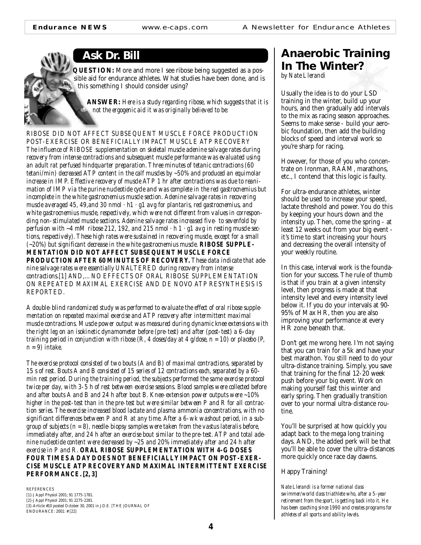**Ask Dr. Bill**

**QUESTION:** More and more I see ribose being suggested as a possible aid for endurance athletes. What studies have been done, and is this something I should consider using?

**ANSWER:** *Here is a study regarding ribose, which suggests that it is not the ergogenic aid it was originally believed to be:*

*RIBOSE DID NOT AFFECT SUBSEQUENT MUSCLE FORCE PRODUCTION POST-EXERCISE OR BENEFICIALLY IMPACT MUSCLE ATP RECOVERY The influence of RIBOSE supplementation on skeletal muscle adenine salvage rates during recovery from intense contractions and subsequent muscle performance was evaluated using an adult rat perfused hindquarter preparation. Three minutes of tetanic contractions (60 tetani/min) decreased ATP content in the calf muscles by ~50% and produced an equimolar increase in IMP. Effective recovery of muscle ATP 1 hr after contractions was due to reanimation of IMP via the purine nucleotide cycle and was complete in the red gastrocnemius but incomplete in the white gastrocnemius muscle section. Adenine salvage rates in recovering muscle averaged 45, 49,and 30 nmol · h1 · g1 avg for plantaris, red gastrocnemius, and white gastrocnemius muscle, respectively, which were not different from values in corresponding non-stimulated muscle sections. Adenine salvage rates increased five- to sevenfold by perfusion with ~4 mM ribose 212, 192, and 215 nmol · h 1 · g1 avg in resting muscle sections, respectively). These high rates were sustained in recovering muscle, except for a small (~20%) but significant decrease in the white gastrocnemius muscle. RIBOSE SUPPLE-MENTATION DID NOT AFFECT SUBSEQUENT MUSCLE FORCE PRODUCTION AFTER 60 MINUTES OF RECOVERY. These data indicate that adenine salvage rates were essentially UNALTERED during recovery from intense contractions.[1] AND,... NO EFFECTS OF ORAL RIBOSE SUPPLEMENTATION ON REPEATED MAXIMAL EXERCISE AND DE NOVO ATP RESYNTHESIS IS REPORTED.*

*A double-blind randomized study was performed to evaluate the effect of oral ribose supplementation on repeated maximal exercise and ATP recovery after intermittent maximal muscle contractions. Muscle power output was measured during dynamic knee extensions with the right leg on an isokinetic dynamometer before (pre-test) and after (post-test) a 6-day training period in conjunction with ribose (R, 4 doses/day at 4 g/dose, n = 10) or placebo (P, n = 9) intake.*

*The exercise protocol consisted of two bouts (A and B) of maximal contractions, separated by 15 s of rest. Bouts A and B consisted of 15 series of 12 contractions each, separated by a 60 min rest period. During the training period, the subjects performed the same exercise protocol twice per day, with 3-5 h of rest between exercise sessions. Blood samples were collected before and after bouts A and B and 24 h after bout B. Knee-extension power outputs were ~10% higher in the post-test than in the pre-test but were similar between P and R for all contraction series. The exercise increased blood lactate and plasma ammonia concentrations, with no significant differences between P and R at any time. After a 6-wk washout period, in a subgroup of subjects (n = 8), needle-biopsy samples were taken from the vastus lateralis before, immediately after, and 24 h after an exercise bout similar to the pre-test. ATP and total adenine nucleotide content were decreased by ~25 and 20% immediately after and 24 h after exercise in P and R. ORAL RIBOSE SUPPLEMENTATION WITH 4-G DOSES FOUR TIMES A DAY DOES NOT BENEFICIALLY IMPACT ON POST-EXER-CISE MUSCLE ATP RECOVERY AND MAXIMAL INTERMITTENT EXERCISE PERFORMANCE. [2, 3]*

REFERENCES [1]-J Appl Physiol 2001; 91 1775-1781. [2]-J Appl Physiol 2001; 91 2275-2281. [3]-Article #10 posted October 30, 2001 in J.O.E. [THE JOURNAL OF ENDURANCE: 2001: # [22]

## **Anaerobic Training In The Winter?**

*by Nate Llerandi*

Usually the idea is to do your LSD training in the winter, build up your hours, and then gradually add intervals to the mix as racing season approaches. Seems to make sense - build your aerobic foundation, then add the building blocks of speed and interval work so you're sharp for racing.

However, for those of you who concentrate on Ironman, RAAM, marathons, etc., I contend that this logic is faulty.

For ultra-endurance athletes, winter should be used to increase your speed, lactate threshold and power. You do this by keeping your hours down and the intensity up. Then, come the spring - at least 12 weeks out from your big event it's time to start increasing your hours and decreasing the overall intensity of your weekly routine.

In this case, interval work is the foundation for your success. The rule of thumb is that if you train at a given intensity level, then progress is made at that intensity level and every intensity level below it. If you do your intervals at 90- 95% of Max HR, then you are also improving your performance at every HR zone beneath that.

Don't get me wrong here. I'm not saying that you can train for a 5k and have your best marathon. You still need to do your ultra-distance training. Simply, you save that training for the final 12-20 week push before your big event. Work on making yourself fast this winter and early spring. Then gradually transition over to your normal ultra-distance routine.

You'll be surprised at how quickly you adapt back to the mega long training days. AND, the added perk will be that you'll be able to cover the ultra-distances more quickly once race day dawns.

Happy Training!

*Nate Llerandi is a former national class swimmer/world class triathlete who, after a 5-year retirement from the sport, is getting back into it. He has been coaching since 1990 and creates programs for athletes of all sports and ability levels.*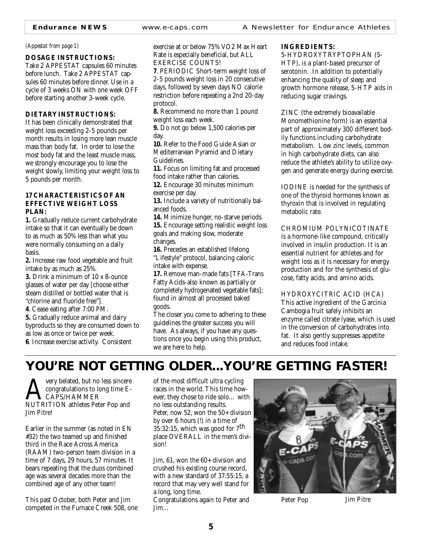#### *(Appestat from page 1)*

#### **DOSAGE INSTRUCTIONS:**

Take 2 APPESTAT capsules 60 minutes before lunch. Take 2 APPESTAT capsules 60 minutes before dinner. Use in a cycle of 3 weeks ON with one week OFF before starting another 3-week cycle.

#### **DIETARY INSTRUCTIONS:**

It has been clinically demonstrated that weight loss exceeding 2-5 pounds per month results in losing more lean muscle mass than body fat. In order to lose the most body fat and the least muscle mass, we strongly encourage you to lose the weight slowly, limiting your weight loss to 5 pounds per month.

#### **17 CHARACTERISTICS OF AN EFFECTIVE WEIGHT LOSS PLAN:**

**1.** Gradually reduce current carbohydrate intake so that it can eventually be down to as much as 50% less than what you were normally consuming on a daily basis.

**2.** Increase raw food vegetable and fruit intake by as much as 25%.

**3.** Drink a minimum of 10 x 8-ounce glasses of water per day [choose either steam distilled or bottled water that is "chlorine and fluoride free"].

**4**. Cease eating after 7:00 PM.

**5.** Gradually reduce animal and dairy byproducts so they are consumed down to as low as once or twice per week. **6**. Increase exercise activity. Consistent

exercise at or below 75% VO2 Max Heart Rate is especially beneficial, but ALL EXERCISE COUNTS!

**7**. PERIODIC Short-term weight loss of 2-5 pounds weight loss in 20 consecutive days, followed by seven days NO calorie restriction before repeating a 2nd 20-day protocol.

**8.** Recommend no more than 1 pound weight loss each week.

**9.** Do not go below 1,500 calories per day.

**10.** Refer to the Food Guide Asian or Mediterranean Pyramid and Dietary Guidelines.

**11.** Focus on limiting fat and processed food intake rather than calories.

**12.** Encourage 30 minutes minimum exercise per day.

**13.** Include a variety of nutritionally balanced foods.

**14.** Minimize hunger, no-starve periods.

**15.** Encourage setting realistic weight loss goals and making slow, moderate changes.

**16.** Precedes an established lifelong "Lifestyle" protocol, balancing caloric intake with expense.

**17.** Remove man-made fats [TFA-Trans Fatty Acids-also known as partially or completely hydrogenated vegetable fats]; found in almost all processed baked goods.

The closer you come to adhering to these guidelines the greater success you will have. As always, if you have any questions once you begin using this product, we are here to help.

#### **INGREDIENTS:**

5-HYDROXYTRYPTOPHAN (5- HTP), is a plant-based precursor of serotonin. In addition to potentially enhancing the quality of sleep and growth hormone release, 5-HTP aids in reducing sugar cravings.

ZINC (the extremely bioavailable Monomethionine form) is an essential part of approximately 300 different bodily functions including carbohydrate metabolism. Low zinc levels, common in high carbohydrate diets, can also reduce the athlete's ability to utilize oxygen and generate energy during exercise.

IODINE is needed for the synthesis of one of the thyroid hormones known as thyroxin that is involved in regulating metabolic rate.

CHROMIUM POLYNICOTINATE

is a hormone-like compound, critically involved in insulin production. It is an essential nutrient for athletes and for weight loss as it is necessary for energy production and for the synthesis of glucose, fatty acids, and amino acids.

HYDROXYCITRIC ACID (HCA)

This active ingredient of the Garcinia Cambogia fruit safely inhibits an enzyme called citrate lyase, which is used in the conversion of carbohydrates into fat. It also gently suppresses appetite and reduces food intake.

## **YOU'RE NOT GETTING OLDER...YOU'RE GETTING** *FASTER!*

**AVERT SEARCH MANUTRITION ANDER STATES PET POP AND REPARTMENT ION athletes Peter Pop and SEARCH SEARCH SEARCH SE** congratulations to long time E-CAPS/HAMMER Jim Pitre!

Earlier in the summer (as noted in EN #32) the two teamed up and finished third in the Race Across America (RAAM) two-person team division in a time of 7 days, 29 hours, 57 minutes. It bears repeating that the duos combined age was several decades more than the combined age of any other team!

This past October, both Peter and Jim competed in the Furnace Creek 508, one of the most difficult ultra cycling races in the world. This time however, they chose to ride solo… with no less outstanding results. Peter, now 52, won the 50+ division by over 6 hours (!) in a time of 35:32:15, which was good for  $7<sup>th</sup>$ place OVERALL in the men's division!

Jim, 61, won the 60+ division and crushed his existing course record, with a new standard of 37:55:15, a record that may very well stand for a long, long time.

Congratulations again to Peter and Jim…



Peter Pop Jim Pitre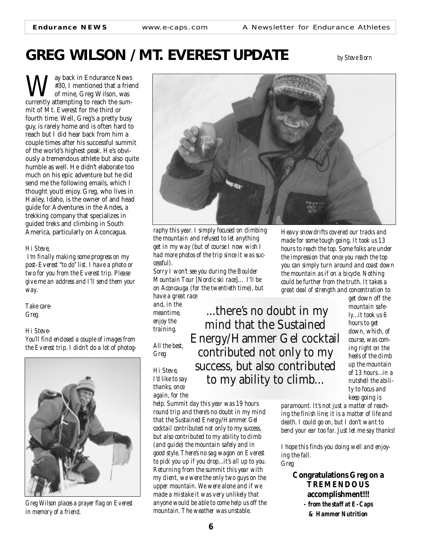# **GREG WILSON / MT. EVEREST UPDATE** *by Steve Born*

**W**#30, I mentioned that a fries<br>currently attempting to reach the sum-#30, I mentioned that a friend of mine, Greg Wilson, was mit of Mt. Everest for the third or fourth time. Well, Greg's a pretty busy guy, is rarely home and is often hard to reach but I did hear back from him a couple times after his successful summit of the world's highest peak. He's obviously a tremendous athlete but also quite humble as well. He didn't elaborate too much on his epic adventure but he did send me the following emails, which I thought you'd enjoy. Greg, who lives in Hailey, Idaho, is the owner of and head guide for Adventures in the Andes, a trekking company that specializes in guided treks and climbing in South America, particularly on Aconcagua.

#### *Hi Steve,*

*I'm finally making some progress on my post-Everest "to do" list. I have a photo or two for you from the Everest trip. Please give me an address and I'll send them your way.*

*Take care-Greg*

#### *Hi Steve-*

*You'll find enclosed a couple of images from the Everest trip. I didn't do a lot of photog-*



*Greg Wilson places a prayer flag on Everest in memory of a friend.*



*raphy this year. I simply focused on climbing the mountain and refused to let anything get in my way (but of course I now wish I had more photos of the trip since it was successful).*

*Sorry I won't see you during the Boulder Mountain Tour [Nordic ski race]… I'll be on Aconcauga (for the twentieth time), but have a great race*

*and, in the meantime, enjoy the training. All the best,*

*Greg*

*Hi Steve, I'd like to say thanks, once*

*again, for the*

*help. Summit day this year was 19 hours round trip and there's no doubt in my mind that the Sustained Energy/Hammer Gel cocktail contributed not only to my success, but also contributed to my ability to climb (and guide) the mountain safely and in good style. There's no sag wagon on Everest to pick you up if you drop...it's all up to you. Returning from the summit this year with my client, we were the only two guys on the upper mountain. We were alone and if we made a mistake it was very unlikely that anyone would be able to come help us off the mountain. The weather was unstable.*

*Heavy snowdrifts covered our tracks and made for some tough going. It took us 13 hours to reach the top. Some folks are under the impression that once you reach the top you can simply turn around and coast down the mountain as if on a bicycle. Nothing could be further from the truth. It takes a great deal of strength and concentration to*

...there's no doubt in my mind that the Sustained Energy/Hammer Gel cocktail contributed not only to my success, but also contributed to my ability to climb...

*get down off the mountain safely...it took us 6 hours to get down, which, of course, was coming right on the heels of the climb up the mountain of 13 hours...in a nutshell the ability to focus and keep going is*

*paramount. It's not just a matter of reaching the finish line; it is a matter of life and death. I could go on, but I don't want to bend your ear too far. Just let me say thanks!*

*I hope this finds you doing well and enjoying the fall. Greg*

> **Congratulations Greg on a TREMENDOUS accomplishment!!!** *- from the staff at E-Caps & Hammer Nutrition*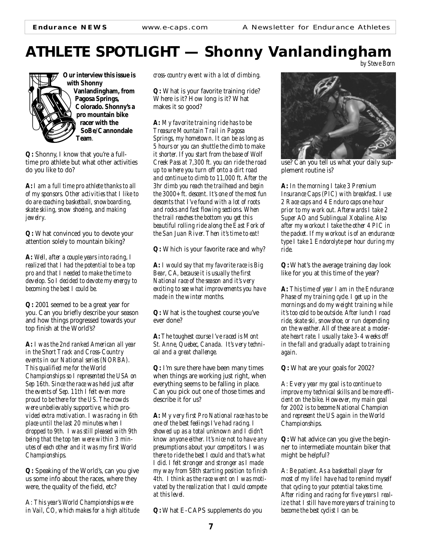### **ATHLETE SPOTLIGHT — Shonny Vanlandingham** *by Steve Born*



**Our interview this issue is with Shonny Vanlandingham, from Pagosa Springs, Colorado. Shonny's a pro mountain bike racer with the SoBe/Cannondale Team***.*

**Q:** Shonny, I know that you're a fulltime pro athlete but what other activities do you like to do?

**A:** *I am a full time pro athlete thanks to all of my sponsors. Other activities that I like to do are coaching basketball, snowboarding, skate skiing, snow shoeing, and making jewelry.*

**Q:** What convinced you to devote your attention solely to mountain biking?

**A:** *Well, after a couple years into racing, I realized that I had the potential to be a top pro and that I needed to make the time to develop. So I decided to devote my energy to becoming the best I could be.*

**Q:** 2001 seemed to be a great year for you. Can you briefly describe your season and how things progressed towards your top finish at the World's?

**A:** *I was the 2nd ranked American all year in the Short Track and Cross-Country events in our National series (NORBA). This qualified me for the World Championships so I represented the USA on Sep 16th. Since the race was held just after the events of Sep. 11th I felt even more proud to be there for the US. The crowds were unbelievably supportive, which provided extra motivation. I was racing in 6th place until the last 20 minutes when I dropped to 9th. I was still pleased with 9th being that the top ten were within 3 minutes of each other and it was my first World Championships.*

**Q:** Speaking of the World's, can you give us some info about the races, where they were, the quality of the field, etc?

A: *This year's World Championships were in Vail, CO, which makes for a high altitude* *cross-country event with a lot of climbing.*

**Q:** What is your favorite training ride? Where is it? How long is it? What makes it so good?

**A:** *My favorite training ride has to be Treasure Mountain Trail in Pagosa Springs, my hometown. It can be as long as 5 hours or you can shuttle the climb to make it shorter. If you start from the base of Wolf Creek Pass at 7,300 ft. you can ride the road up to where you turn off onto a dirt road and continue to climb to 11,000 ft. After the 3hr climb you reach the trailhead and begin the 3000+ ft. descent. It's one of the most fun descents that I've found with a lot of roots and rocks and fast flowing sections. When the trail reaches the bottom you get this beautiful rolling ride along the East Fork of the San Juan River. Then it's time to eat!*

**Q:** Which is your favorite race and why?

**A:** *I would say that my favorite race is Big Bear, CA, because it is usually the first National race of the season and it's very exciting to see what improvements you have made in the winter months.*

**Q:** What is the toughest course you've ever done?

**A:** *The toughest course I've raced is Mont St. Anne, Quebec, Canada. It's very technical and a great challenge.*

**Q:** I'm sure there have been many times when things are working just right, when everything seems to be falling in place. Can you pick out one of those times and describe it for us?

**A:** *My very first Pro National race has to be one of the best feelings I've had racing. I showed up as a total unknown and I didn't know anyone either. It's nice not to have any presumptions about your competitors. I was there to ride the best I could and that's what I did. I felt stronger and stronger as I made my way from 58th starting position to finish 4th. I think as the race went on I was motivated by the realization that I could compete at this level.*

**Q:** What E-CAPS supplements do you



use? Can you tell us what your daily supplement routine is?

**A:** *In the morning I take 3 Premium Insurance Caps (PIC) with breakfast. I use 2 Race caps and 4 Enduro caps one hour prior to my work out. Afterwards I take 2 Super AO and Sublingual Xobaline. Also after my workout I take the other 4 PIC in the packet. If my workout is of an endurance type I take 1 Endorolyte per hour during my ride.*

**Q:** What's the average training day look like for you at this time of the year?

**A:** *This time of year I am in the Endurance Phase of my training cycle. I get up in the mornings and do my weight training while it's too cold to be outside. After lunch I road ride, skate ski, snowshoe, or run depending on the weather. All of these are at a moderate heart rate. I usually take 3-4 weeks off in the fall and gradually adapt to training again.*

**Q:** What are your goals for 2002?

A: *Every year my goal is to continue to improve my technical skills and be more efficient on the bike. However, my main goal for 2002 is to become National Champion and represent the US again in the World Championships.*

**Q:** What advice can you give the beginner to intermediate mountain biker that might be helpful?

A: *Be patient. As a basketball player for most of my life I have had to remind myself that cycling to your potential takes time. After riding and racing for five years I realize that I still have more years of training to become the best cyclist I can be.*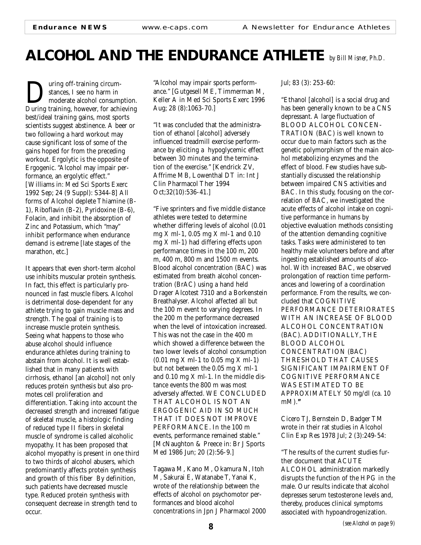## **ALCOHOL AND THE ENDURANCE ATHLETE** *by Bill Misner, Ph.D.*

**During off-training circum-**<br>
stances, I see no harm in<br>
During training, however, for achieving stances, I see no harm in moderate alcohol consumption. best/ideal training gains, most sports scientists suggest abstinence. A beer or two following a hard workout may cause significant loss of some of the gains hoped for from the preceding workout. Ergolytic is the opposite of Ergogenic. "Alcohol may impair performance, an ergolytic effect." [Williams in: Med Sci Sports Exerc 1992 Sep; 24 (9 Suppl): S344-8] All forms of Alcohol deplete Thiamine (B-1), Riboflavin (B-2), Pyridoxine (B-6), Folacin, and inhibit the absorption of Zinc and Potassium, which "may" inhibit performance when endurance demand is extreme [late stages of the marathon, etc.]

It appears that even short-term alcohol use inhibits muscular protein synthesis. In fact, this effect is particularly pronounced in fast muscle fibers. Alcohol is detrimental dose-dependent for any athlete trying to gain muscle mass and strength. The goal of training is to increase muscle protein synthesis. Seeing what happens to those who abuse alcohol should influence endurance athletes during training to abstain from alcohol. It is well established that in many patients with cirrhosis, ethanol [an alcohol] not only reduces protein synthesis but also promotes cell proliferation and differentiation. Taking into account the decreased strength and increased fatigue of skeletal muscle, a histologic finding of reduced type II fibers in skeletal muscle of syndrome is called alcoholic myopathy. It has been proposed that alcohol myopathy is present in one third to two thirds of alcohol abusers, which predominantly affects protein synthesis and growth of this fiber By definition, such patients have decreased muscle type. Reduced protein synthesis with consequent decrease in strength tend to occur.

"Alcohol may impair sports performance." [Gutgesell ME, Timmerman M, Keller A in Med Sci Sports Exerc 1996 Aug; 28 (8):1063-70.]

"It was concluded that the administration of ethanol [alcohol] adversely influenced treadmill exercise performance by eliciting a hypoglycemic effect between 30 minutes and the termination of the exercise." [Kendrick ZV, Affrime MB, Lowenthal DT in: Int J Clin Pharmacol Ther 1994 Oct;32(10):536-41.]

"Five sprinters and five middle distance athletes were tested to determine whether differing levels of alcohol (0.01 mg X ml-1, 0.05 mg X ml-1 and 0.10 mg X ml-1) had differing effects upon performance times in the 100 m, 200 m, 400 m, 800 m and 1500 m events. Blood alcohol concentration (BAC) was estimated from breath alcohol concentration (BrAC) using a hand held Drager Alcotest 7310 and a Borkenstein Breathalyser. Alcohol affected all but the 100 m event to varying degrees. In the 200 m the performance decreased when the level of intoxication increased. This was not the case in the 400 m which showed a difference between the two lower levels of alcohol consumption (0.01 mg X ml-1 to 0.05 mg X ml-1) but not between the 0.05 mg X ml-1 and 0.10 mg X ml-1. In the middle distance events the 800 m was most adversely affected. WE CONCLUDED THAT ALCOHOL IS NOT AN ERGOGENIC AID IN SO MUCH THAT IT DOES NOT IMPROVE PERFORMANCE. In the 100 m events, performance remained stable." [McNaughton & Preece in: Br J Sports Med 1986 Jun; 20 (2):56-9.]

Tagawa M, Kano M, Okamura N, Itoh M, Sakurai E, Watanabe T, Yanai K, wrote of the relationship between the effects of alcohol on psychomotor performances and blood alcohol concentrations in Jpn J Pharmacol 2000 Jul; 83 (3): 253-60:

"Ethanol [alcohol] is a social drug and has been generally known to be a CNS depressant. A large fluctuation of BLOOD ALCOHOL CONCEN-TRATION (BAC) is well known to occur due to main factors such as the genetic polymorphism of the main alcohol metabolizing enzymes and the effect of blood. Few studies have substantially discussed the relationship between impaired CNS activities and BAC. In this study, focusing on the correlation of BAC, we investigated the acute effects of alcohol intake on cognitive performance in humans by objective evaluation methods consisting of the attention demanding cognitive tasks. Tasks were administered to ten healthy male volunteers before and after ingesting established amounts of alcohol. With increased BAC, we observed prolongation of reaction time performances and lowering of a coordination performance. From the results, we concluded that COGNITIVE PERFORMANCE DETERIORATES WITH AN INCREASE OF BLOOD ALCOHOL CONCENTRATION (BAC). ADDITIONALLY, THE BLOOD ALCOHOL CONCENTRATION (BAC) THRESHOLD THAT CAUSES SIGNIFICANT IMPAIRMENT OF COGNITIVE PERFORMANCE WAS ESTIMATED TO BE APPROXIMATELY 50 mg/dl (ca. 10 mM).**"**

Cicero TJ, Bernstein D, Badger TM wrote in their rat studies in Alcohol Clin Exp Res 1978 Jul; 2 (3):249-54:

"The results of the current studies further document that ACUTE ALCOHOL administration markedly disrupts the function of the HPG in the male. Our results indicate that alcohol depresses serum testosterone levels and, thereby, produces clinical symptoms associated with hypoandrogenization.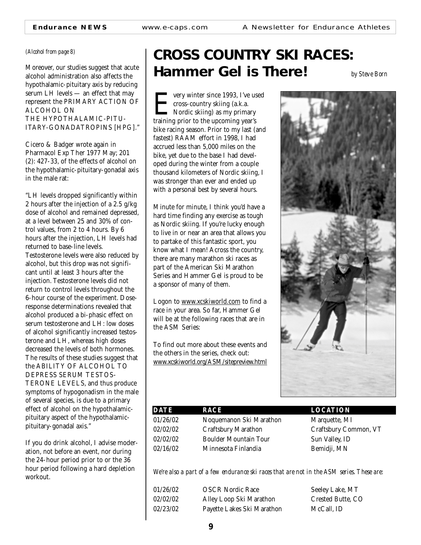#### *(Alcohol from page 8)*

Moreover, our studies suggest that acute alcohol administration also affects the hypothalamic-pituitary axis by reducing serum LH levels — an effect that may represent the PRIMARY ACTION OF ALCOHOL ON THE HYPOTHALAMIC-PITU-ITARY-GONADATROPINS [HPG]."

Cicero & Badger wrote again in Pharmacol Exp Ther 1977 May; 201 (2): 427-33, of the effects of alcohol on the hypothalamic-pituitary-gonadal axis in the male rat:

"LH levels dropped significantly within 2 hours after the injection of a 2.5 g/kg dose of alcohol and remained depressed, at a level between 25 and 30% of control values, from 2 to 4 hours. By 6 hours after the injection, LH levels had returned to base-line levels. Testosterone levels were also reduced by alcohol, but this drop was not significant until at least 3 hours after the injection. Testosterone levels did not return to control levels throughout the 6-hour course of the experiment. Doseresponse determinations revealed that alcohol produced a bi-phasic effect on serum testosterone and LH: low doses of alcohol significantly increased testosterone and LH, whereas high doses decreased the levels of both hormones. The results of these studies suggest that the ABILITY OF ALCOHOL TO DEPRESS SERUM TESTOS-TERONE LEVELS, and thus produce symptoms of hypogonadism in the male of several species, is due to a primary effect of alcohol on the hypothalamicpituitary aspect of the hypothalamicpituitary-gonadal axis."

If you do drink alcohol, I advise moderation, not before an event, nor during the 24-hour period prior to or the 36 hour period following a hard depletion workout.

# **CROSS COUNTRY SKI RACES: Hammer Gel is There!** *by Steve Born*

**EVERT WE USE SET STANDARY STANDARY STANDARY STANDARY STANDARY STANDARY STANDARY STANDARY STANDARY STANDARY STANDARY STANDARY STANDARY STANDARY STANDARY STANDARY STANDARY STANDARY STANDARY STANDARY STANDARY STANDARY STANDA** cross-country skiing (a.k.a. Nordic skiing) as my primary bike racing season. Prior to my last (and fastest) RAAM effort in 1998, I had accrued less than 5,000 miles on the bike, yet due to the base I had developed during the winter from a couple thousand kilometers of Nordic skiing, I was stronger than ever and ended up with a personal best by several hours.

Minute for minute, I think you'd have a hard time finding any exercise as tough as Nordic skiing. If you're lucky enough to live in or near an area that allows you to partake of this fantastic sport, you know what I mean! Across the country, there are many marathon ski races as part of the American Ski Marathon Series and Hammer Gel is proud to be a sponsor of many of them.

Logon to www.xcskiworld.com to find a race in your area. So far, Hammer Gel will be at the following races that are in the ASM Series:

To find out more about these events and the others in the series, check out: www.xcskiworld.org/ASM/sitepreview.html



| <b>DATE</b> | RACE                         |
|-------------|------------------------------|
| 01/26/02    | Noquemanon Ski Marathon      |
| 02/02/02    | <b>Craftsbury Marathon</b>   |
| 02/02/02    | <b>Boulder Mountain Tour</b> |
| 02/16/02    | Minnesota Finlandia          |

**LOCATION** 

Marquette, MI Craftsbury Common, VT Sun Valley, ID Bemidji, MN

*We're also a part of a few endurance ski races that are not in the ASM series. These are:*

| 01/26/02 | <b>OSCR Nordic Race</b>    | Seeley Lake, MT          |
|----------|----------------------------|--------------------------|
| 02/02/02 | Alley Loop Ski Marathon    | <b>Crested Butte, CO</b> |
| 02/23/02 | Payette Lakes Ski Marathon | McCall. ID               |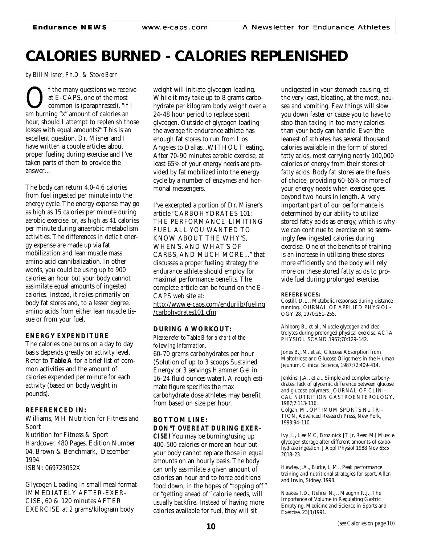# **CALORIES BURNED - CALORIES REPLENISHED**

*by Bill Misner, Ph.D. & Steve Born*

**OF** the many questions we receive<br>at E-CAPS, one of the most<br>common is (paraphrased), "if I<br>am burning "x" amount of calories an at E-CAPS, one of the most common is (paraphrased), "if I hour, should I attempt to replenish those losses with equal amounts?" This is an excellent question. Dr. Misner and I have written a couple articles about proper fueling during exercise and I've taken parts of them to provide the answer…

The body can return 4.0-4.6 calories from fuel ingested per minute into the energy cycle. The energy expense may go as high as 15 calories per minute during aerobic exercise, or, as high as 41 calories per minute during anaerobic metabolism activities. The differences in deficit energy expense are made up via fat mobilization and lean muscle mass amino acid cannibalization. In other words, you could be using up to 900 calories an hour but your body cannot assimilate equal amounts of ingested calories. Instead, it relies primarily on body fat stores and, to a lesser degree, amino acids from either lean muscle tissue or from your fuel.

#### **ENERGY EXPENDITURE**

The calories one burns on a day to day basis depends greatly on activity level. Refer to **Table A** for a brief list of common activities and the amount of calories expended per minute for each activity (based on body weight in pounds).

#### **REFERENCED IN:**

Williams, MH Nutrition for Fitness and Sport Nutrition for Fitness & Sport Hardcover, 480 Pages, Edition Number 04, Brown & Benchmark, December 1994.

ISBN: 069723052X

Glycogen Loading in small meal format IMMEDIATELY AFTER-EXER-CISE, 60 & 120 minutes AFTER EXERCISE at 2 grams/kilogram body

weight will initiate glycogen loading. While it may take up to 8 grams carbohydrate per kilogram body weight over a 24-48 hour period to replace spent glycogen. Outside of glycogen loading the average fit endurance athlete has enough fat stores to run from Los Angeles to Dallas...WITHOUT eating. After 70-90 minutes aerobic exercise, at least 65% of your energy needs are provided by fat mobilized into the energy cycle by a number of enzymes and hormonal messengers.

I've excerpted a portion of Dr. Misner's article "CARBOHYDRATES 101: THE PERFORMANCE-LIMITING FUEL ALL YOU WANTED TO KNOW ABOUT THE WHY'S, WHEN'S, AND WHAT'S OF CARBS, AND MUCH MORE..." that discusses a proper fueling strategy the endurance athlete should employ for maximal performance benefits. The complete article can be found on the E-CAPS web site at: http://www.e-caps.com/endurlib/fueling /carbohydrates101.cfm

#### **DURING A WORKOUT:**

*Please refer to Table B for a chart of the following information.*

60-70 grams carbohydrates per hour (Solution of up to 3 scoops Sustained Energy or 3 servings Hammer Gel in 16-24 fluid ounces water). A rough estimate figure specifies the max carbohydrate dose athletes may benefit from based on size per hour.

#### **BOTTOM LINE:** *DON"T OVEREAT DURING EXER-*

*CISE!* You may be burning/using up 400-500 calories or more an hour but your body cannot replace those in equal amounts on an hourly basis. The body can only assimilate a given amount of calories an hour and to force additional food down, in the hopes of "topping off " or "getting ahead of " calorie needs, will usually backfire. Instead of having more calories available for fuel, they will sit

undigested in your stomach causing, at the very least, bloating, at the most, nausea and vomiting. Few things will slow you down faster or cause you to have to stop than taking in too many calories than your body can handle. Even the leanest of athletes has several thousand calories available in the form of stored fatty acids, most carrying nearly 100,000 calories of energy from their stores of fatty acids. Body fat stores are the fuels of choice, providing 60-65% or more of your energy needs when exercise goes beyond two hours in length. A very important part of our performance is determined by our ability to utilize stored fatty acids as energy, which is why we can continue to exercise on so seemingly few ingested calories during exercise. One of the benefits of training is an increase in utilizing these stores more efficiently and the body will rely more on these stored fatty acids to provide fuel during prolonged exercise.

#### **REFERENCES:**

Costill, D.L., Metabolic responses during distance running. JOURNAL OF APPLIED PHYSIOL-OGY 28, 1970:251-255.

Ahlborg B., et al., Muscle glycogen and electrolytes during prolonged physical exercise. ACTA PHYSIOL SCAND,1967;70:129-142.

Jones B.J.M. et al., Glucose Absorption from Maltotriose and Glucose Oligomers in the Human Jejunum, Clinical Science, 1987;72:409-414.

Jenkins, J.A., et al., Simple and complex carbohydrates: lack of glycemic difference between glucose and glucose polymers. JOURNAL OF CLINI-CAL NUTRITION GASTROENTEROLOGY, 1987;2:113-116. Colgan, M., OPTIMUM SPORTS NUTRI-

TION, Advanced Research Press, New York, 1993:94-110.

Ivy JL, Lee MC, Brozinick JT Jr, Reed MJ Muscle glycogen storage after different amounts of carbohydrate ingestion. J Appl Physiol 1988 Nov 65:5 2018-23.

Hawley, J.A., Burke, L.M., Peak performance training and nutritional strategies for sport, Allen and Irwin, Sidney, 1998.

Noakes T.D., Rehrer N.J., Maughn R.J., The Importance of Volume in Regulating Gastric Emptying, Medicine and Science in Sports and Exercise, 23(3)1991.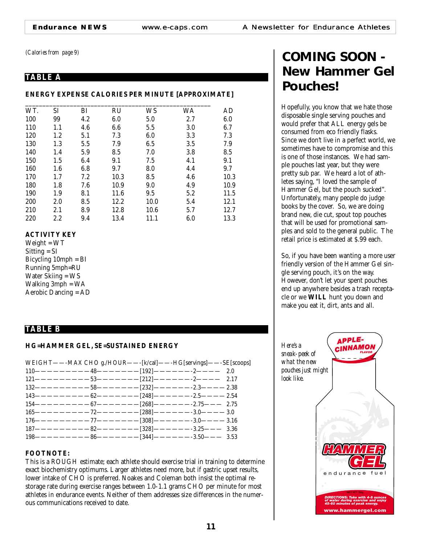*(Calories from page 9)*

#### **TABLE A**

#### **ENERGY EXPENSE CALORIES PER MINUTE [APPROXIMATE]**

| WT. | SI      | BI  | <b>RU</b> | WS   | WA  | AD   |
|-----|---------|-----|-----------|------|-----|------|
| 100 | 99      | 4.2 | 6.0       | 5.0  | 2.7 | 6.0  |
| 110 | 1.1     | 4.6 | 6.6       | 5.5  | 3.0 | 6.7  |
| 120 | 1.2     | 5.1 | 7.3       | 6.0  | 3.3 | 7.3  |
| 130 | 1.3     | 5.5 | 7.9       | 6.5  | 3.5 | 7.9  |
| 140 | 1.4     | 5.9 | 8.5       | 7.0  | 3.8 | 8.5  |
| 150 | 1.5     | 6.4 | 9.1       | 7.5  | 4.1 | 9.1  |
| 160 | 1.6     | 6.8 | 9.7       | 8.0  | 4.4 | 9.7  |
| 170 | 1.7     | 7.2 | 10.3      | 8.5  | 4.6 | 10.3 |
| 180 | 1.8     | 7.6 | 10.9      | 9.0  | 4.9 | 10.9 |
| 190 | 1.9     | 8.1 | 11.6      | 9.5  | 5.2 | 11.5 |
| 200 | 2.0     | 8.5 | 12.2      | 10.0 | 5.4 | 12.1 |
| 210 | 2.1     | 8.9 | 12.8      | 10.6 | 5.7 | 12.7 |
| 220 | $2.2\,$ | 9.4 | 13.4      | 11.1 | 6.0 | 13.3 |

#### **ACTIVITY KEY**

Weight = WT Sitting = SI Bicycling 10mph = BI Running 5mph=RU Water Skiing = WS Walking 3mph = WA Aerobic Dancing = AD

#### **TABLE B**

#### **HG=HAMMER GEL, SE=SUSTAINED ENERGY**

| WEIGHT----MAX CHO g./HOUR----[k/cal]----HG[servings]----SE[scoops] |  |  |
|--------------------------------------------------------------------|--|--|
|                                                                    |  |  |
| $121$ ------------53--------[212]-------2---- 2.17                 |  |  |
|                                                                    |  |  |
|                                                                    |  |  |
|                                                                    |  |  |
|                                                                    |  |  |
|                                                                    |  |  |
|                                                                    |  |  |
|                                                                    |  |  |

#### **FOOTNOTE:**

This is a ROUGH estimate; each athlete should exercise trial in training to determine exact biochemistry optimums. Larger athletes need more, but if gastric upset results, lower intake of CHO is preferred. Noakes and Coleman both insist the optimal restorage rate during exercise ranges between 1.0-1.1 grams CHO per minute for most athletes in endurance events. Neither of them addresses size differences in the numerous communications received to date.

## **COMING SOON - New Hammer Gel Pouches!**

Hopefully, you know that we hate those disposable single serving pouches and would prefer that ALL energy gels be consumed from eco friendly flasks. Since we don't live in a perfect world, we sometimes have to compromise and this is one of those instances. We had sample pouches last year, but they were pretty sub par. We heard a lot of athletes saying, "I loved the sample of Hammer Gel, but the pouch sucked". Unfortunately, many people do judge books by the cover. So, we are doing brand new, die cut, spout top pouches that will be used for promotional samples and sold to the general public. The retail price is estimated at \$.99 each.

So, if you have been wanting a more user friendly version of the Hammer Gel single serving pouch, it's on the way. However, don't let your spent pouches end up anywhere besides a trash receptacle or we **WILL** hunt you down and make you eat it, dirt, ants and all.